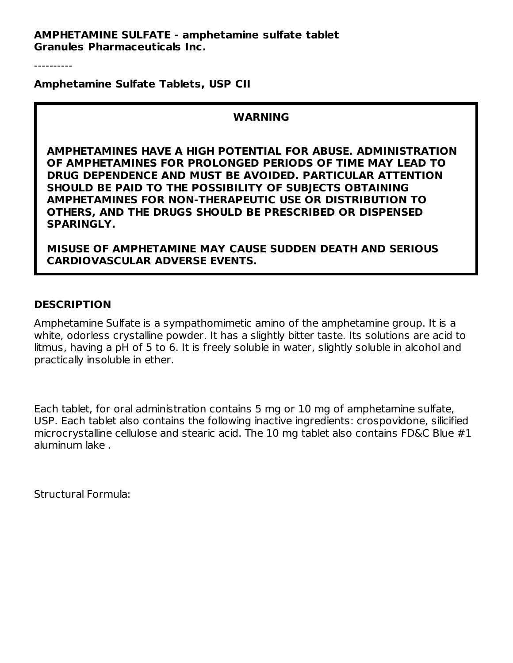**AMPHETAMINE SULFATE - amphetamine sulfate tablet Granules Pharmaceuticals Inc.**

----------

**Amphetamine Sulfate Tablets, USP CII**

#### **WARNING**

**AMPHETAMINES HAVE A HIGH POTENTIAL FOR ABUSE. ADMINISTRATION OF AMPHETAMINES FOR PROLONGED PERIODS OF TIME MAY LEAD TO DRUG DEPENDENCE AND MUST BE AVOIDED. PARTICULAR ATTENTION SHOULD BE PAID TO THE POSSIBILITY OF SUBJECTS OBTAINING AMPHETAMINES FOR NON-THERAPEUTIC USE OR DISTRIBUTION TO OTHERS, AND THE DRUGS SHOULD BE PRESCRIBED OR DISPENSED SPARINGLY.**

**MISUSE OF AMPHETAMINE MAY CAUSE SUDDEN DEATH AND SERIOUS CARDIOVASCULAR ADVERSE EVENTS.**

#### **DESCRIPTION**

Amphetamine Sulfate is a sympathomimetic amino of the amphetamine group. It is a white, odorless crystalline powder. It has a slightly bitter taste. Its solutions are acid to litmus, having a pH of 5 to 6. It is freely soluble in water, slightly soluble in alcohol and practically insoluble in ether.

Each tablet, for oral administration contains 5 mg or 10 mg of amphetamine sulfate, USP. Each tablet also contains the following inactive ingredients: crospovidone, silicified microcrystalline cellulose and stearic acid. The 10 mg tablet also contains FD&C Blue #1 aluminum lake .

Structural Formula: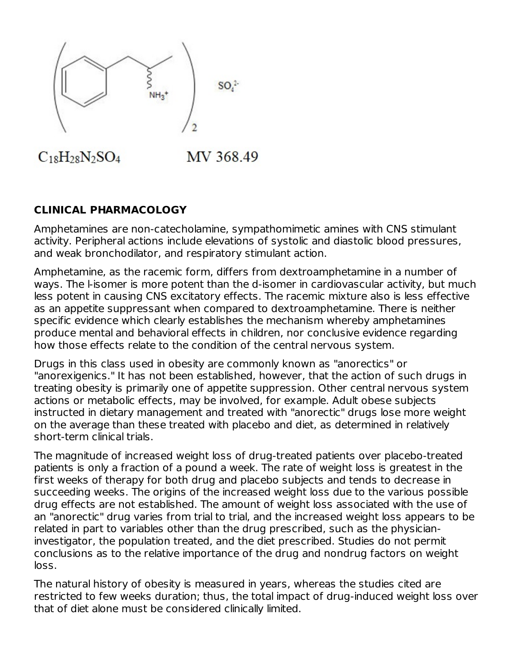

# $C_{18}H_{28}N_2SO_4$

MV 368.49

## **CLINICAL PHARMACOLOGY**

Amphetamines are non-catecholamine, sympathomimetic amines with CNS stimulant activity. Peripheral actions include elevations of systolic and diastolic blood pressures, and weak bronchodilator, and respiratory stimulant action.

Amphetamine, as the racemic form, differs from dextroamphetamine in a number of ways. The l-isomer is more potent than the d-isomer in cardiovascular activity, but much less potent in causing CNS excitatory effects. The racemic mixture also is less effective as an appetite suppressant when compared to dextroamphetamine. There is neither specific evidence which clearly establishes the mechanism whereby amphetamines produce mental and behavioral effects in children, nor conclusive evidence regarding how those effects relate to the condition of the central nervous system.

Drugs in this class used in obesity are commonly known as "anorectics" or "anorexigenics." It has not been established, however, that the action of such drugs in treating obesity is primarily one of appetite suppression. Other central nervous system actions or metabolic effects, may be involved, for example. Adult obese subjects instructed in dietary management and treated with "anorectic" drugs lose more weight on the average than these treated with placebo and diet, as determined in relatively short-term clinical trials.

The magnitude of increased weight loss of drug-treated patients over placebo-treated patients is only a fraction of a pound a week. The rate of weight loss is greatest in the first weeks of therapy for both drug and placebo subjects and tends to decrease in succeeding weeks. The origins of the increased weight loss due to the various possible drug effects are not established. The amount of weight loss associated with the use of an "anorectic" drug varies from trial to trial, and the increased weight loss appears to be related in part to variables other than the drug prescribed, such as the physicianinvestigator, the population treated, and the diet prescribed. Studies do not permit conclusions as to the relative importance of the drug and nondrug factors on weight loss.

The natural history of obesity is measured in years, whereas the studies cited are restricted to few weeks duration; thus, the total impact of drug-induced weight loss over that of diet alone must be considered clinically limited.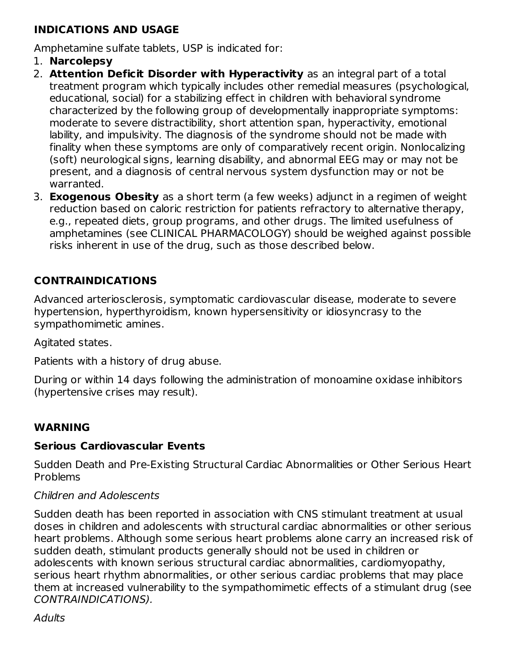### **INDICATIONS AND USAGE**

Amphetamine sulfate tablets, USP is indicated for:

- 1. **Narcolepsy**
- 2. **Attention Deficit Disorder with Hyperactivity** as an integral part of a total treatment program which typically includes other remedial measures (psychological, educational, social) for a stabilizing effect in children with behavioral syndrome characterized by the following group of developmentally inappropriate symptoms: moderate to severe distractibility, short attention span, hyperactivity, emotional lability, and impulsivity. The diagnosis of the syndrome should not be made with finality when these symptoms are only of comparatively recent origin. Nonlocalizing (soft) neurological signs, learning disability, and abnormal EEG may or may not be present, and a diagnosis of central nervous system dysfunction may or not be warranted.
- 3. **Exogenous Obesity** as a short term (a few weeks) adjunct in a regimen of weight reduction based on caloric restriction for patients refractory to alternative therapy, e.g., repeated diets, group programs, and other drugs. The limited usefulness of amphetamines (see CLINICAL PHARMACOLOGY) should be weighed against possible risks inherent in use of the drug, such as those described below.

## **CONTRAINDICATIONS**

Advanced arteriosclerosis, symptomatic cardiovascular disease, moderate to severe hypertension, hyperthyroidism, known hypersensitivity or idiosyncrasy to the sympathomimetic amines.

Agitated states.

Patients with a history of drug abuse.

During or within 14 days following the administration of monoamine oxidase inhibitors (hypertensive crises may result).

## **WARNING**

#### **Serious Cardiovascular Events**

Sudden Death and Pre-Existing Structural Cardiac Abnormalities or Other Serious Heart Problems

#### Children and Adolescents

Sudden death has been reported in association with CNS stimulant treatment at usual doses in children and adolescents with structural cardiac abnormalities or other serious heart problems. Although some serious heart problems alone carry an increased risk of sudden death, stimulant products generally should not be used in children or adolescents with known serious structural cardiac abnormalities, cardiomyopathy, serious heart rhythm abnormalities, or other serious cardiac problems that may place them at increased vulnerability to the sympathomimetic effects of a stimulant drug (see CONTRAINDICATIONS).

**Adults**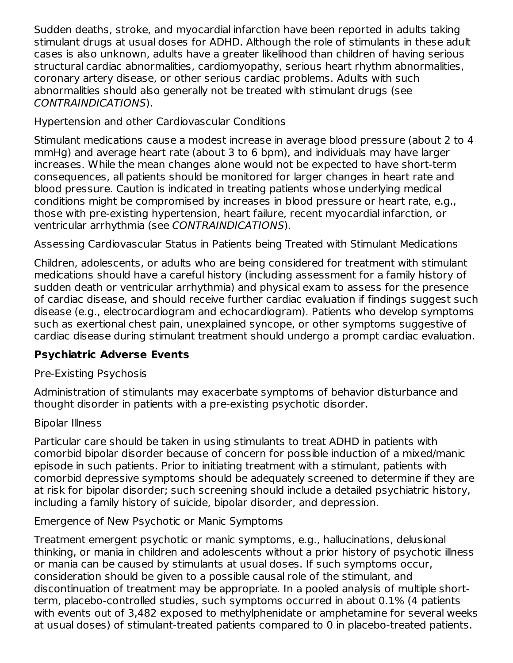Sudden deaths, stroke, and myocardial infarction have been reported in adults taking stimulant drugs at usual doses for ADHD. Although the role of stimulants in these adult cases is also unknown, adults have a greater likelihood than children of having serious structural cardiac abnormalities, cardiomyopathy, serious heart rhythm abnormalities, coronary artery disease, or other serious cardiac problems. Adults with such abnormalities should also generally not be treated with stimulant drugs (see CONTRAINDICATIONS).

Hypertension and other Cardiovascular Conditions

Stimulant medications cause a modest increase in average blood pressure (about 2 to 4 mmHg) and average heart rate (about 3 to 6 bpm), and individuals may have larger increases. While the mean changes alone would not be expected to have short-term consequences, all patients should be monitored for larger changes in heart rate and blood pressure. Caution is indicated in treating patients whose underlying medical conditions might be compromised by increases in blood pressure or heart rate, e.g., those with pre-existing hypertension, heart failure, recent myocardial infarction, or ventricular arrhythmia (see CONTRAINDICATIONS).

Assessing Cardiovascular Status in Patients being Treated with Stimulant Medications

Children, adolescents, or adults who are being considered for treatment with stimulant medications should have a careful history (including assessment for a family history of sudden death or ventricular arrhythmia) and physical exam to assess for the presence of cardiac disease, and should receive further cardiac evaluation if findings suggest such disease (e.g., electrocardiogram and echocardiogram). Patients who develop symptoms such as exertional chest pain, unexplained syncope, or other symptoms suggestive of cardiac disease during stimulant treatment should undergo a prompt cardiac evaluation.

## **Psychiatric Adverse Events**

## Pre-Existing Psychosis

Administration of stimulants may exacerbate symptoms of behavior disturbance and thought disorder in patients with a pre-existing psychotic disorder.

## Bipolar Illness

Particular care should be taken in using stimulants to treat ADHD in patients with comorbid bipolar disorder because of concern for possible induction of a mixed/manic episode in such patients. Prior to initiating treatment with a stimulant, patients with comorbid depressive symptoms should be adequately screened to determine if they are at risk for bipolar disorder; such screening should include a detailed psychiatric history, including a family history of suicide, bipolar disorder, and depression.

## Emergence of New Psychotic or Manic Symptoms

Treatment emergent psychotic or manic symptoms, e.g., hallucinations, delusional thinking, or mania in children and adolescents without a prior history of psychotic illness or mania can be caused by stimulants at usual doses. If such symptoms occur, consideration should be given to a possible causal role of the stimulant, and discontinuation of treatment may be appropriate. In a pooled analysis of multiple shortterm, placebo-controlled studies, such symptoms occurred in about 0.1% (4 patients with events out of 3,482 exposed to methylphenidate or amphetamine for several weeks at usual doses) of stimulant-treated patients compared to 0 in placebo-treated patients.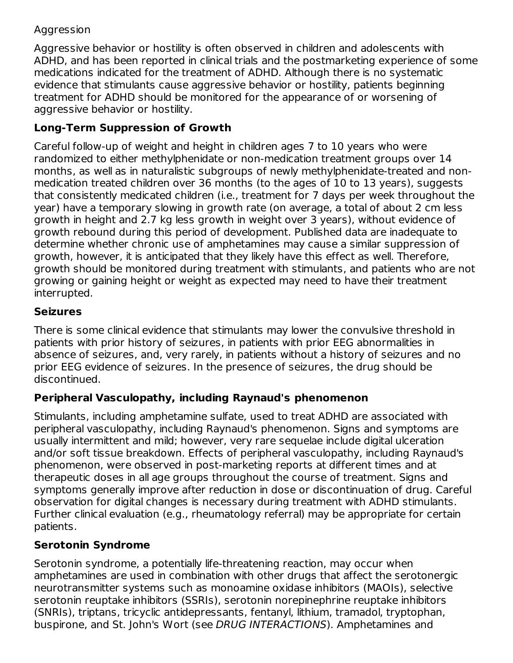## Aggression

Aggressive behavior or hostility is often observed in children and adolescents with ADHD, and has been reported in clinical trials and the postmarketing experience of some medications indicated for the treatment of ADHD. Although there is no systematic evidence that stimulants cause aggressive behavior or hostility, patients beginning treatment for ADHD should be monitored for the appearance of or worsening of aggressive behavior or hostility.

## **Long-Term Suppression of Growth**

Careful follow-up of weight and height in children ages 7 to 10 years who were randomized to either methylphenidate or non-medication treatment groups over 14 months, as well as in naturalistic subgroups of newly methylphenidate-treated and nonmedication treated children over 36 months (to the ages of 10 to 13 years), suggests that consistently medicated children (i.e., treatment for 7 days per week throughout the year) have a temporary slowing in growth rate (on average, a total of about 2 cm less growth in height and 2.7 kg less growth in weight over 3 years), without evidence of growth rebound during this period of development. Published data are inadequate to determine whether chronic use of amphetamines may cause a similar suppression of growth, however, it is anticipated that they likely have this effect as well. Therefore, growth should be monitored during treatment with stimulants, and patients who are not growing or gaining height or weight as expected may need to have their treatment interrupted.

## **Seizures**

There is some clinical evidence that stimulants may lower the convulsive threshold in patients with prior history of seizures, in patients with prior EEG abnormalities in absence of seizures, and, very rarely, in patients without a history of seizures and no prior EEG evidence of seizures. In the presence of seizures, the drug should be discontinued.

## **Peripheral Vasculopathy, including Raynaud's phenomenon**

Stimulants, including amphetamine sulfate, used to treat ADHD are associated with peripheral vasculopathy, including Raynaud's phenomenon. Signs and symptoms are usually intermittent and mild; however, very rare sequelae include digital ulceration and/or soft tissue breakdown. Effects of peripheral vasculopathy, including Raynaud's phenomenon, were observed in post-marketing reports at different times and at therapeutic doses in all age groups throughout the course of treatment. Signs and symptoms generally improve after reduction in dose or discontinuation of drug. Careful observation for digital changes is necessary during treatment with ADHD stimulants. Further clinical evaluation (e.g., rheumatology referral) may be appropriate for certain patients.

## **Serotonin Syndrome**

Serotonin syndrome, a potentially life-threatening reaction, may occur when amphetamines are used in combination with other drugs that affect the serotonergic neurotransmitter systems such as monoamine oxidase inhibitors (MAOIs), selective serotonin reuptake inhibitors (SSRIs), serotonin norepinephrine reuptake inhibitors (SNRIs), triptans, tricyclic antidepressants, fentanyl, lithium, tramadol, tryptophan, buspirone, and St. John's Wort (see DRUG INTERACTIONS). Amphetamines and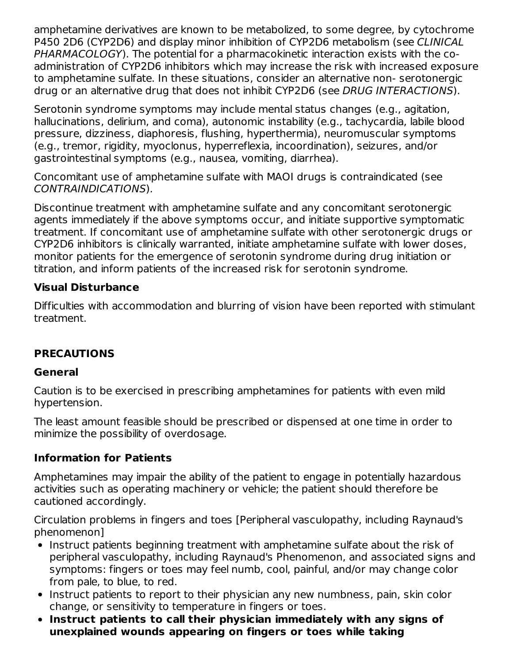amphetamine derivatives are known to be metabolized, to some degree, by cytochrome P450 2D6 (CYP2D6) and display minor inhibition of CYP2D6 metabolism (see CLINICAL PHARMACOLOGY). The potential for a pharmacokinetic interaction exists with the coadministration of CYP2D6 inhibitors which may increase the risk with increased exposure to amphetamine sulfate. In these situations, consider an alternative non- serotonergic drug or an alternative drug that does not inhibit CYP2D6 (see DRUG INTERACTIONS).

Serotonin syndrome symptoms may include mental status changes (e.g., agitation, hallucinations, delirium, and coma), autonomic instability (e.g., tachycardia, labile blood pressure, dizziness, diaphoresis, flushing, hyperthermia), neuromuscular symptoms (e.g., tremor, rigidity, myoclonus, hyperreflexia, incoordination), seizures, and/or gastrointestinal symptoms (e.g., nausea, vomiting, diarrhea).

Concomitant use of amphetamine sulfate with MAOI drugs is contraindicated (see CONTRAINDICATIONS).

Discontinue treatment with amphetamine sulfate and any concomitant serotonergic agents immediately if the above symptoms occur, and initiate supportive symptomatic treatment. If concomitant use of amphetamine sulfate with other serotonergic drugs or CYP2D6 inhibitors is clinically warranted, initiate amphetamine sulfate with lower doses, monitor patients for the emergence of serotonin syndrome during drug initiation or titration, and inform patients of the increased risk for serotonin syndrome.

## **Visual Disturbance**

Difficulties with accommodation and blurring of vision have been reported with stimulant treatment.

## **PRECAUTIONS**

## **General**

Caution is to be exercised in prescribing amphetamines for patients with even mild hypertension.

The least amount feasible should be prescribed or dispensed at one time in order to minimize the possibility of overdosage.

#### **Information for Patients**

Amphetamines may impair the ability of the patient to engage in potentially hazardous activities such as operating machinery or vehicle; the patient should therefore be cautioned accordingly.

Circulation problems in fingers and toes [Peripheral vasculopathy, including Raynaud's phenomenon]

- Instruct patients beginning treatment with amphetamine sulfate about the risk of peripheral vasculopathy, including Raynaud's Phenomenon, and associated signs and symptoms: fingers or toes may feel numb, cool, painful, and/or may change color from pale, to blue, to red.
- Instruct patients to report to their physician any new numbness, pain, skin color change, or sensitivity to temperature in fingers or toes.
- **Instruct patients to call their physician immediately with any signs of unexplained wounds appearing on fingers or toes while taking**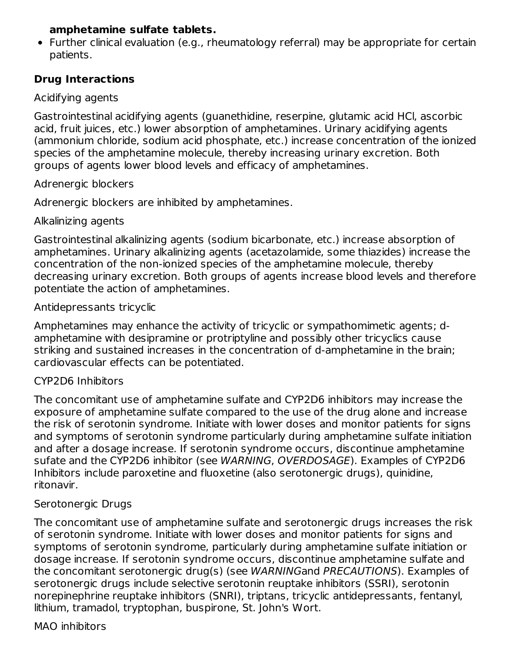#### **amphetamine sulfate tablets.**

Further clinical evaluation (e.g., rheumatology referral) may be appropriate for certain patients.

## **Drug Interactions**

### Acidifying agents

Gastrointestinal acidifying agents (guanethidine, reserpine, glutamic acid HCl, ascorbic acid, fruit juices, etc.) lower absorption of amphetamines. Urinary acidifying agents (ammonium chloride, sodium acid phosphate, etc.) increase concentration of the ionized species of the amphetamine molecule, thereby increasing urinary excretion. Both groups of agents lower blood levels and efficacy of amphetamines.

#### Adrenergic blockers

Adrenergic blockers are inhibited by amphetamines.

### Alkalinizing agents

Gastrointestinal alkalinizing agents (sodium bicarbonate, etc.) increase absorption of amphetamines. Urinary alkalinizing agents (acetazolamide, some thiazides) increase the concentration of the non-ionized species of the amphetamine molecule, thereby decreasing urinary excretion. Both groups of agents increase blood levels and therefore potentiate the action of amphetamines.

### Antidepressants tricyclic

Amphetamines may enhance the activity of tricyclic or sympathomimetic agents; damphetamine with desipramine or protriptyline and possibly other tricyclics cause striking and sustained increases in the concentration of d-amphetamine in the brain; cardiovascular effects can be potentiated.

#### CYP2D6 Inhibitors

The concomitant use of amphetamine sulfate and CYP2D6 inhibitors may increase the exposure of amphetamine sulfate compared to the use of the drug alone and increase the risk of serotonin syndrome. Initiate with lower doses and monitor patients for signs and symptoms of serotonin syndrome particularly during amphetamine sulfate initiation and after a dosage increase. If serotonin syndrome occurs, discontinue amphetamine sufate and the CYP2D6 inhibitor (see WARNING, OVERDOSAGE). Examples of CYP2D6 Inhibitors include paroxetine and fluoxetine (also serotonergic drugs), quinidine, ritonavir.

#### Serotonergic Drugs

The concomitant use of amphetamine sulfate and serotonergic drugs increases the risk of serotonin syndrome. Initiate with lower doses and monitor patients for signs and symptoms of serotonin syndrome, particularly during amphetamine sulfate initiation or dosage increase. If serotonin syndrome occurs, discontinue amphetamine sulfate and the concomitant serotonergic drug(s) (see WARNINGand PRECAUTIONS). Examples of serotonergic drugs include selective serotonin reuptake inhibitors (SSRI), serotonin norepinephrine reuptake inhibitors (SNRI), triptans, tricyclic antidepressants, fentanyl, lithium, tramadol, tryptophan, buspirone, St. John's Wort.

#### MAO inhibitors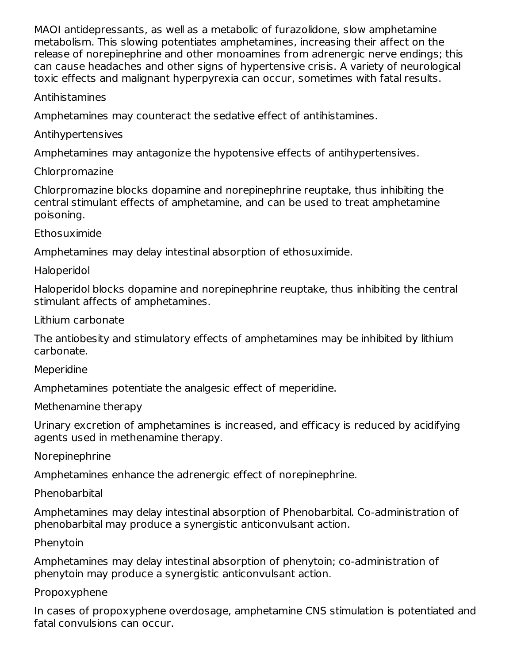MAOI antidepressants, as well as a metabolic of furazolidone, slow amphetamine metabolism. This slowing potentiates amphetamines, increasing their affect on the release of norepinephrine and other monoamines from adrenergic nerve endings; this can cause headaches and other signs of hypertensive crisis. A variety of neurological toxic effects and malignant hyperpyrexia can occur, sometimes with fatal results.

#### Antihistamines

Amphetamines may counteract the sedative effect of antihistamines.

## Antihypertensives

Amphetamines may antagonize the hypotensive effects of antihypertensives.

## Chlorpromazine

Chlorpromazine blocks dopamine and norepinephrine reuptake, thus inhibiting the central stimulant effects of amphetamine, and can be used to treat amphetamine poisoning.

Ethosuximide

Amphetamines may delay intestinal absorption of ethosuximide.

## Haloperidol

Haloperidol blocks dopamine and norepinephrine reuptake, thus inhibiting the central stimulant affects of amphetamines.

Lithium carbonate

The antiobesity and stimulatory effects of amphetamines may be inhibited by lithium carbonate.

#### **Meperidine**

Amphetamines potentiate the analgesic effect of meperidine.

## Methenamine therapy

Urinary excretion of amphetamines is increased, and efficacy is reduced by acidifying agents used in methenamine therapy.

Norepinephrine

Amphetamines enhance the adrenergic effect of norepinephrine.

## Phenobarbital

Amphetamines may delay intestinal absorption of Phenobarbital. Co-administration of phenobarbital may produce a synergistic anticonvulsant action.

## Phenytoin

Amphetamines may delay intestinal absorption of phenytoin; co-administration of phenytoin may produce a synergistic anticonvulsant action.

## Propoxyphene

In cases of propoxyphene overdosage, amphetamine CNS stimulation is potentiated and fatal convulsions can occur.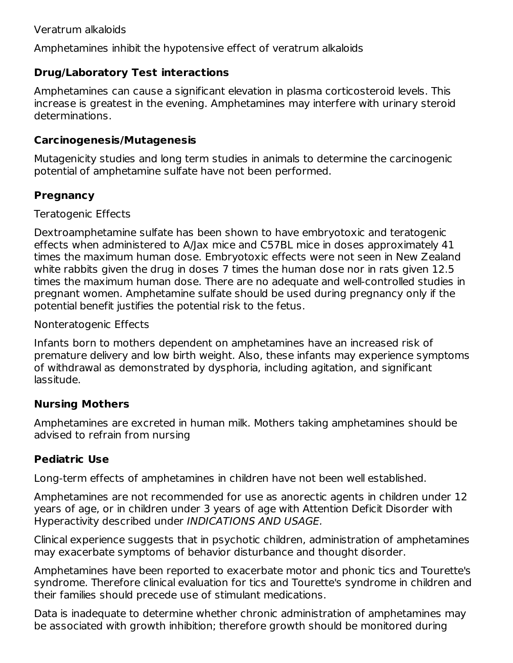Amphetamines inhibit the hypotensive effect of veratrum alkaloids

## **Drug/Laboratory Test interactions**

Amphetamines can cause a significant elevation in plasma corticosteroid levels. This increase is greatest in the evening. Amphetamines may interfere with urinary steroid determinations.

### **Carcinogenesis/Mutagenesis**

Mutagenicity studies and long term studies in animals to determine the carcinogenic potential of amphetamine sulfate have not been performed.

## **Pregnancy**

Teratogenic Effects

Dextroamphetamine sulfate has been shown to have embryotoxic and teratogenic effects when administered to A/Jax mice and C57BL mice in doses approximately 41 times the maximum human dose. Embryotoxic effects were not seen in New Zealand white rabbits given the drug in doses 7 times the human dose nor in rats given 12.5 times the maximum human dose. There are no adequate and well-controlled studies in pregnant women. Amphetamine sulfate should be used during pregnancy only if the potential benefit justifies the potential risk to the fetus.

Nonteratogenic Effects

Infants born to mothers dependent on amphetamines have an increased risk of premature delivery and low birth weight. Also, these infants may experience symptoms of withdrawal as demonstrated by dysphoria, including agitation, and significant lassitude.

## **Nursing Mothers**

Amphetamines are excreted in human milk. Mothers taking amphetamines should be advised to refrain from nursing

## **Pediatric Use**

Long-term effects of amphetamines in children have not been well established.

Amphetamines are not recommended for use as anorectic agents in children under 12 years of age, or in children under 3 years of age with Attention Deficit Disorder with Hyperactivity described under INDICATIONS AND USAGE.

Clinical experience suggests that in psychotic children, administration of amphetamines may exacerbate symptoms of behavior disturbance and thought disorder.

Amphetamines have been reported to exacerbate motor and phonic tics and Tourette's syndrome. Therefore clinical evaluation for tics and Tourette's syndrome in children and their families should precede use of stimulant medications.

Data is inadequate to determine whether chronic administration of amphetamines may be associated with growth inhibition; therefore growth should be monitored during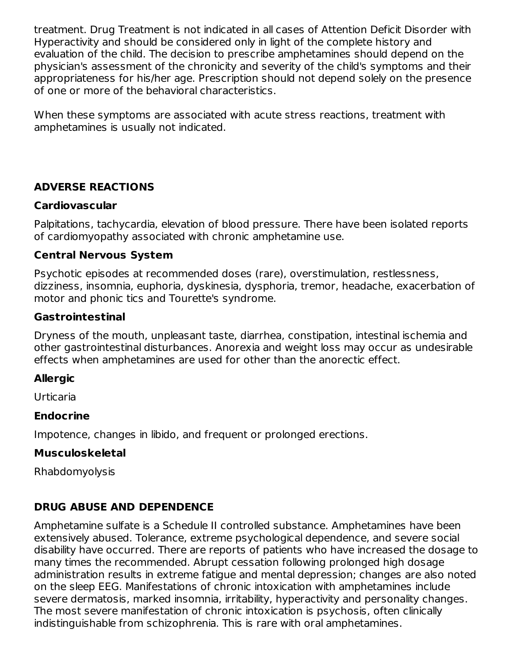treatment. Drug Treatment is not indicated in all cases of Attention Deficit Disorder with Hyperactivity and should be considered only in light of the complete history and evaluation of the child. The decision to prescribe amphetamines should depend on the physician's assessment of the chronicity and severity of the child's symptoms and their appropriateness for his/her age. Prescription should not depend solely on the presence of one or more of the behavioral characteristics.

When these symptoms are associated with acute stress reactions, treatment with amphetamines is usually not indicated.

### **ADVERSE REACTIONS**

#### **Cardiovascular**

Palpitations, tachycardia, elevation of blood pressure. There have been isolated reports of cardiomyopathy associated with chronic amphetamine use.

#### **Central Nervous System**

Psychotic episodes at recommended doses (rare), overstimulation, restlessness, dizziness, insomnia, euphoria, dyskinesia, dysphoria, tremor, headache, exacerbation of motor and phonic tics and Tourette's syndrome.

#### **Gastrointestinal**

Dryness of the mouth, unpleasant taste, diarrhea, constipation, intestinal ischemia and other gastrointestinal disturbances. Anorexia and weight loss may occur as undesirable effects when amphetamines are used for other than the anorectic effect.

#### **Allergic**

**Urticaria** 

#### **Endocrine**

Impotence, changes in libido, and frequent or prolonged erections.

#### **Musculoskeletal**

Rhabdomyolysis

## **DRUG ABUSE AND DEPENDENCE**

Amphetamine sulfate is a Schedule II controlled substance. Amphetamines have been extensively abused. Tolerance, extreme psychological dependence, and severe social disability have occurred. There are reports of patients who have increased the dosage to many times the recommended. Abrupt cessation following prolonged high dosage administration results in extreme fatigue and mental depression; changes are also noted on the sleep EEG. Manifestations of chronic intoxication with amphetamines include severe dermatosis, marked insomnia, irritability, hyperactivity and personality changes. The most severe manifestation of chronic intoxication is psychosis, often clinically indistinguishable from schizophrenia. This is rare with oral amphetamines.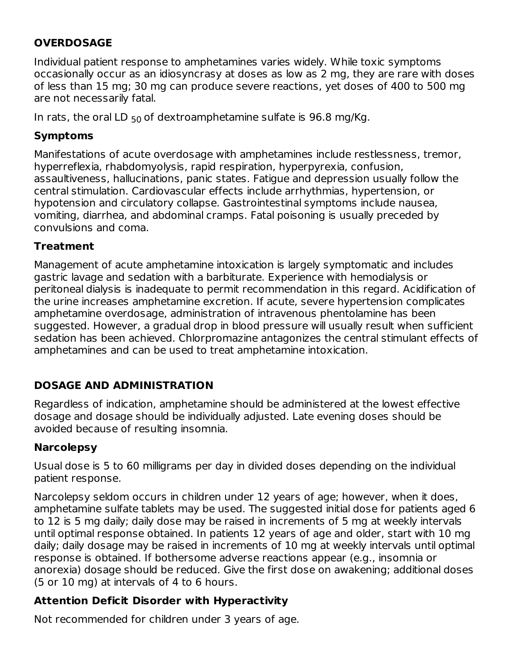## **OVERDOSAGE**

Individual patient response to amphetamines varies widely. While toxic symptoms occasionally occur as an idiosyncrasy at doses as low as 2 mg, they are rare with doses of less than 15 mg; 30 mg can produce severe reactions, yet doses of 400 to 500 mg are not necessarily fatal.

In rats, the oral LD  $_{50}$  of dextroamphetamine sulfate is  $96.8$  mg/Kg.

## **Symptoms**

Manifestations of acute overdosage with amphetamines include restlessness, tremor, hyperreflexia, rhabdomyolysis, rapid respiration, hyperpyrexia, confusion, assaultiveness, hallucinations, panic states. Fatigue and depression usually follow the central stimulation. Cardiovascular effects include arrhythmias, hypertension, or hypotension and circulatory collapse. Gastrointestinal symptoms include nausea, vomiting, diarrhea, and abdominal cramps. Fatal poisoning is usually preceded by convulsions and coma.

## **Treatment**

Management of acute amphetamine intoxication is largely symptomatic and includes gastric lavage and sedation with a barbiturate. Experience with hemodialysis or peritoneal dialysis is inadequate to permit recommendation in this regard. Acidification of the urine increases amphetamine excretion. If acute, severe hypertension complicates amphetamine overdosage, administration of intravenous phentolamine has been suggested. However, a gradual drop in blood pressure will usually result when sufficient sedation has been achieved. Chlorpromazine antagonizes the central stimulant effects of amphetamines and can be used to treat amphetamine intoxication.

## **DOSAGE AND ADMINISTRATION**

Regardless of indication, amphetamine should be administered at the lowest effective dosage and dosage should be individually adjusted. Late evening doses should be avoided because of resulting insomnia.

## **Narcolepsy**

Usual dose is 5 to 60 milligrams per day in divided doses depending on the individual patient response.

Narcolepsy seldom occurs in children under 12 years of age; however, when it does, amphetamine sulfate tablets may be used. The suggested initial dose for patients aged 6 to 12 is 5 mg daily; daily dose may be raised in increments of 5 mg at weekly intervals until optimal response obtained. In patients 12 years of age and older, start with 10 mg daily; daily dosage may be raised in increments of 10 mg at weekly intervals until optimal response is obtained. If bothersome adverse reactions appear (e.g., insomnia or anorexia) dosage should be reduced. Give the first dose on awakening; additional doses (5 or 10 mg) at intervals of 4 to 6 hours.

## **Attention Deficit Disorder with Hyperactivity**

Not recommended for children under 3 years of age.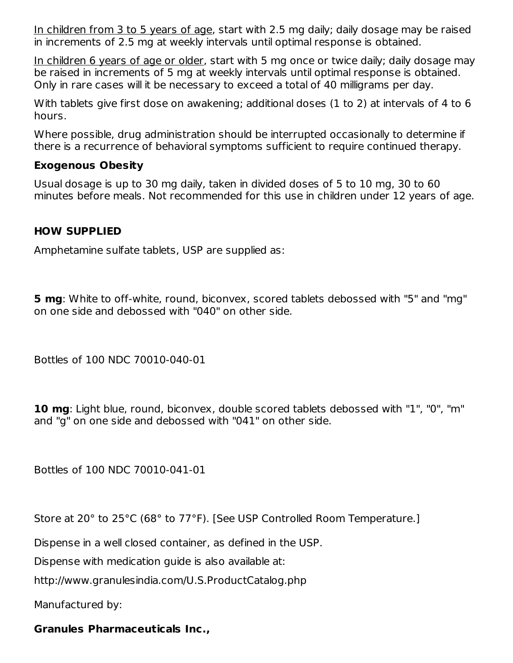In children from 3 to 5 years of age, start with 2.5 mg daily; daily dosage may be raised in increments of 2.5 mg at weekly intervals until optimal response is obtained.

In children 6 years of age or older, start with 5 mg once or twice daily; daily dosage may be raised in increments of 5 mg at weekly intervals until optimal response is obtained. Only in rare cases will it be necessary to exceed a total of 40 milligrams per day.

With tablets give first dose on awakening; additional doses (1 to 2) at intervals of 4 to 6 hours.

Where possible, drug administration should be interrupted occasionally to determine if there is a recurrence of behavioral symptoms sufficient to require continued therapy.

#### **Exogenous Obesity**

Usual dosage is up to 30 mg daily, taken in divided doses of 5 to 10 mg, 30 to 60 minutes before meals. Not recommended for this use in children under 12 years of age.

### **HOW SUPPLIED**

Amphetamine sulfate tablets, USP are supplied as:

**5 mg**: White to off-white, round, biconvex, scored tablets debossed with "5" and "mg" on one side and debossed with "040" on other side.

Bottles of 100 NDC 70010-040-01

**10 mg**: Light blue, round, biconvex, double scored tablets debossed with "1", "0", "m" and "g" on one side and debossed with "041" on other side.

Bottles of 100 NDC 70010-041-01

Store at 20° to 25°C (68° to 77°F). [See USP Controlled Room Temperature.]

Dispense in a well closed container, as defined in the USP.

Dispense with medication guide is also available at:

http://www.granulesindia.com/U.S.ProductCatalog.php

Manufactured by:

## **Granules Pharmaceuticals Inc.,**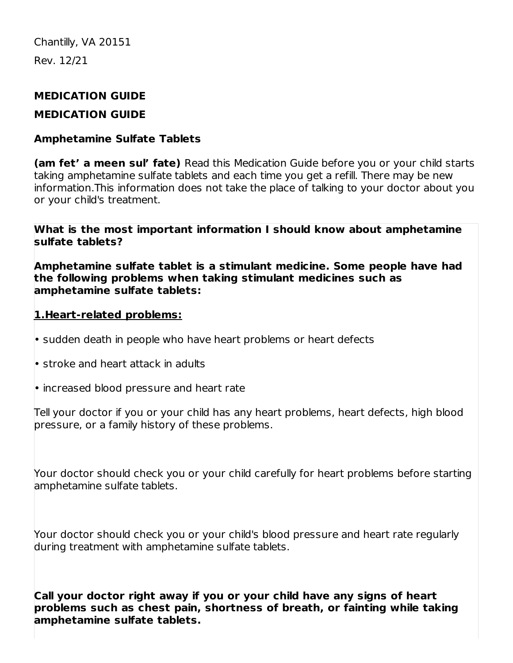# **MEDICATION GUIDE**

## **MEDICATION GUIDE**

## **Amphetamine Sulfate Tablets**

**(am fet' a meen sul' fate)** Read this Medication Guide before you or your child starts taking amphetamine sulfate tablets and each time you get a refill. There may be new information.This information does not take the place of talking to your doctor about you or your child's treatment.

**What is the most important information I should know about amphetamine sulfate tablets?**

**Amphetamine sulfate tablet is a stimulant medicine. Some people have had the following problems when taking stimulant medicines such as amphetamine sulfate tablets:**

## **1.Heart-related problems:**

- sudden death in people who have heart problems or heart defects
- stroke and heart attack in adults
- increased blood pressure and heart rate

Tell your doctor if you or your child has any heart problems, heart defects, high blood pressure, or a family history of these problems.

Your doctor should check you or your child carefully for heart problems before starting amphetamine sulfate tablets.

Your doctor should check you or your child's blood pressure and heart rate regularly during treatment with amphetamine sulfate tablets.

**Call your doctor right away if you or your child have any signs of heart problems such as chest pain, shortness of breath, or fainting while taking amphetamine sulfate tablets.**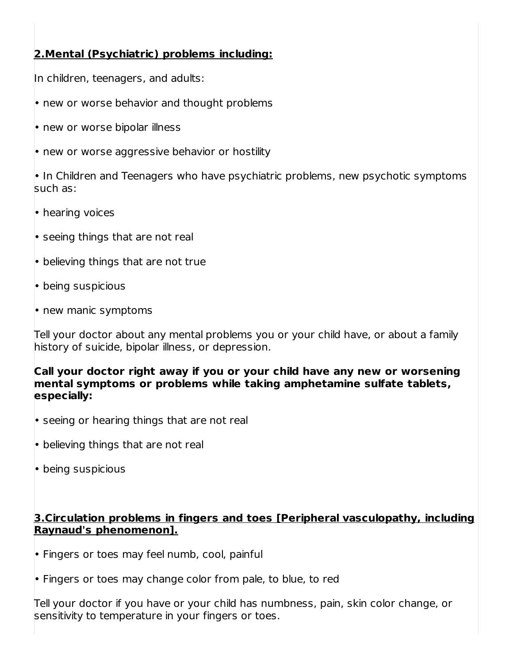## **2.Mental (Psychiatric) problems including:**

In children, teenagers, and adults:

• new or worse behavior and thought problems

• new or worse bipolar illness

• new or worse aggressive behavior or hostility

• In Children and Teenagers who have psychiatric problems, new psychotic symptoms such as:

• hearing voices

- seeing things that are not real
- believing things that are not true
- being suspicious
- new manic symptoms

Tell your doctor about any mental problems you or your child have, or about a family history of suicide, bipolar illness, or depression.

**Call your doctor right away if you or your child have any new or worsening mental symptoms or problems while taking amphetamine sulfate tablets, especially:**

- seeing or hearing things that are not real
- believing things that are not real
- being suspicious

**3.Circulation problems in fingers and toes [Peripheral vasculopathy, including Raynaud's phenomenon].**

• Fingers or toes may feel numb, cool, painful

• Fingers or toes may change color from pale, to blue, to red

Tell your doctor if you have or your child has numbness, pain, skin color change, or sensitivity to temperature in your fingers or toes.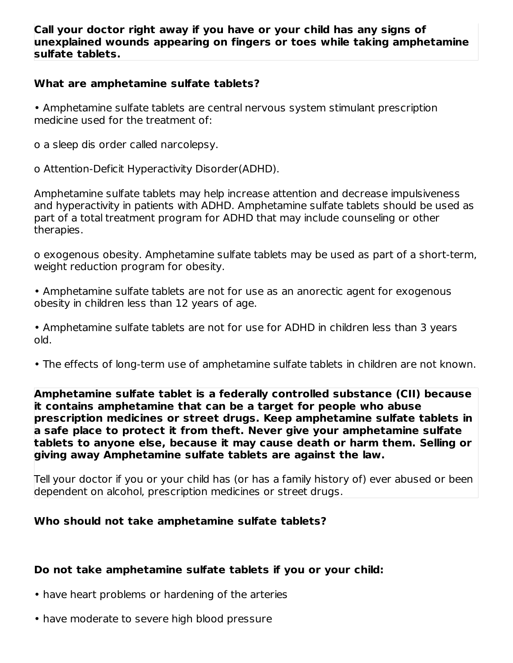#### **Call your doctor right away if you have or your child has any signs of unexplained wounds appearing on fingers or toes while taking amphetamine sulfate tablets.**

#### **What are amphetamine sulfate tablets?**

• Amphetamine sulfate tablets are central nervous system stimulant prescription medicine used for the treatment of:

o a sleep dis order called narcolepsy.

o Attention-Deficit Hyperactivity Disorder(ADHD).

Amphetamine sulfate tablets may help increase attention and decrease impulsiveness and hyperactivity in patients with ADHD. Amphetamine sulfate tablets should be used as part of a total treatment program for ADHD that may include counseling or other therapies.

o exogenous obesity. Amphetamine sulfate tablets may be used as part of a short-term, weight reduction program for obesity.

• Amphetamine sulfate tablets are not for use as an anorectic agent for exogenous obesity in children less than 12 years of age.

• Amphetamine sulfate tablets are not for use for ADHD in children less than 3 years old.

• The effects of long-term use of amphetamine sulfate tablets in children are not known.

**Amphetamine sulfate tablet is a federally controlled substance (CII) because it contains amphetamine that can be a target for people who abuse prescription medicines or street drugs. Keep amphetamine sulfate tablets in a safe place to protect it from theft. Never give your amphetamine sulfate tablets to anyone else, because it may cause death or harm them. Selling or giving away Amphetamine sulfate tablets are against the law.**

Tell your doctor if you or your child has (or has a family history of) ever abused or been dependent on alcohol, prescription medicines or street drugs.

#### **Who should not take amphetamine sulfate tablets?**

#### **Do not take amphetamine sulfate tablets if you or your child:**

- have heart problems or hardening of the arteries
- have moderate to severe high blood pressure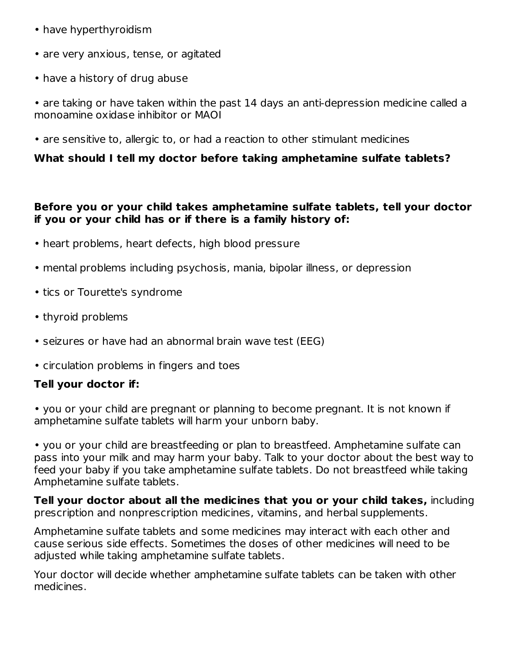- have hyperthyroidism
- are very anxious, tense, or agitated
- have a history of drug abuse

• are taking or have taken within the past 14 days an anti-depression medicine called a monoamine oxidase inhibitor or MAOI

• are sensitive to, allergic to, or had a reaction to other stimulant medicines

#### **What should I tell my doctor before taking amphetamine sulfate tablets?**

#### **Before you or your child takes amphetamine sulfate tablets, tell your doctor if you or your child has or if there is a family history of:**

- heart problems, heart defects, high blood pressure
- mental problems including psychosis, mania, bipolar illness, or depression
- tics or Tourette's syndrome
- thyroid problems
- seizures or have had an abnormal brain wave test (EEG)
- circulation problems in fingers and toes

#### **Tell your doctor if:**

• you or your child are pregnant or planning to become pregnant. It is not known if amphetamine sulfate tablets will harm your unborn baby.

• you or your child are breastfeeding or plan to breastfeed. Amphetamine sulfate can pass into your milk and may harm your baby. Talk to your doctor about the best way to feed your baby if you take amphetamine sulfate tablets. Do not breastfeed while taking Amphetamine sulfate tablets.

**Tell your doctor about all the medicines that you or your child takes,** including prescription and nonprescription medicines, vitamins, and herbal supplements.

Amphetamine sulfate tablets and some medicines may interact with each other and cause serious side effects. Sometimes the doses of other medicines will need to be adjusted while taking amphetamine sulfate tablets.

Your doctor will decide whether amphetamine sulfate tablets can be taken with other medicines.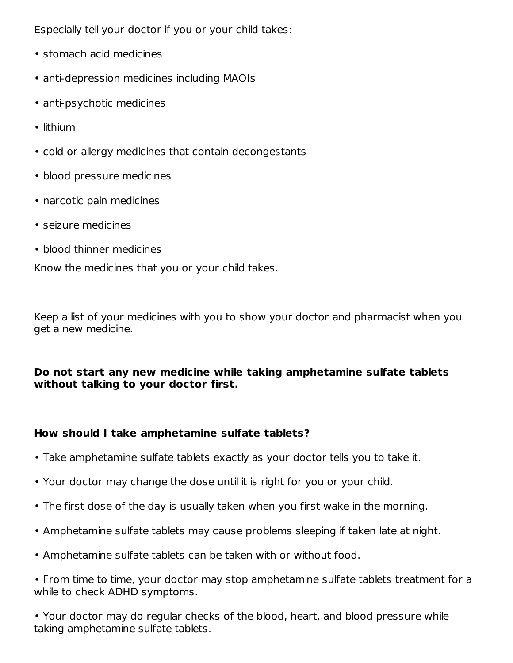Especially tell your doctor if you or your child takes:

- stomach acid medicines
- anti-depression medicines including MAOIs
- anti-psychotic medicines
- lithium
- cold or allergy medicines that contain decongestants
- blood pressure medicines
- narcotic pain medicines
- seizure medicines
- blood thinner medicines

Know the medicines that you or your child takes.

Keep a list of your medicines with you to show your doctor and pharmacist when you get a new medicine.

#### **Do not start any new medicine while taking amphetamine sulfate tablets without talking to your doctor first.**

#### **How should I take amphetamine sulfate tablets?**

- Take amphetamine sulfate tablets exactly as your doctor tells you to take it.
- Your doctor may change the dose until it is right for you or your child.
- The first dose of the day is usually taken when you first wake in the morning.
- Amphetamine sulfate tablets may cause problems sleeping if taken late at night.
- Amphetamine sulfate tablets can be taken with or without food.
- From time to time, your doctor may stop amphetamine sulfate tablets treatment for a while to check ADHD symptoms.

• Your doctor may do regular checks of the blood, heart, and blood pressure while taking amphetamine sulfate tablets.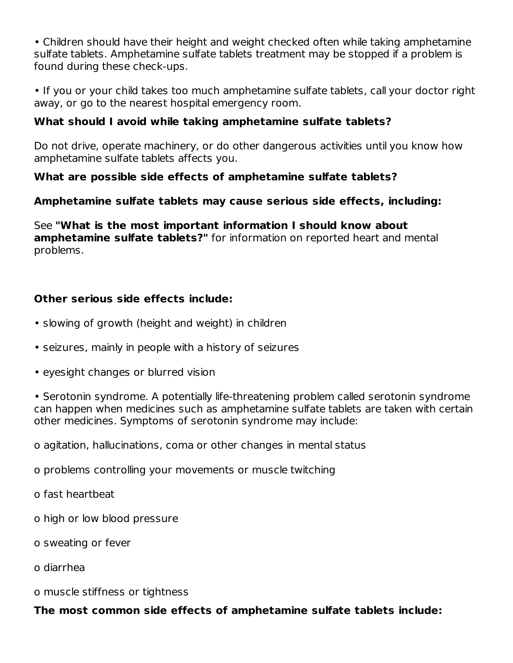• Children should have their height and weight checked often while taking amphetamine sulfate tablets. Amphetamine sulfate tablets treatment may be stopped if a problem is found during these check-ups.

• If you or your child takes too much amphetamine sulfate tablets, call your doctor right away, or go to the nearest hospital emergency room.

## **What should I avoid while taking amphetamine sulfate tablets?**

Do not drive, operate machinery, or do other dangerous activities until you know how amphetamine sulfate tablets affects you.

### **What are possible side effects of amphetamine sulfate tablets?**

### **Amphetamine sulfate tablets may cause serious side effects, including:**

See **"What is the most important information I should know about amphetamine sulfate tablets?"** for information on reported heart and mental problems.

### **Other serious side effects include:**

- slowing of growth (height and weight) in children
- seizures, mainly in people with a history of seizures
- eyesight changes or blurred vision

• Serotonin syndrome. A potentially life-threatening problem called serotonin syndrome can happen when medicines such as amphetamine sulfate tablets are taken with certain other medicines. Symptoms of serotonin syndrome may include:

o agitation, hallucinations, coma or other changes in mental status

o problems controlling your movements or muscle twitching

o fast heartbeat

o high or low blood pressure

o sweating or fever

o diarrhea

o muscle stiffness or tightness

**The most common side effects of amphetamine sulfate tablets include:**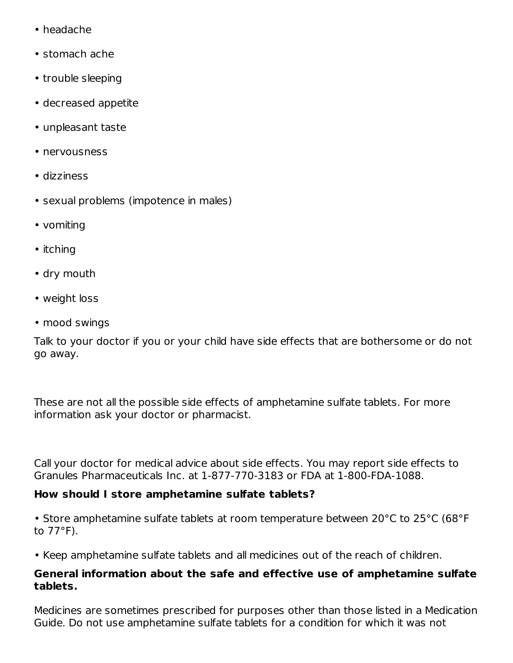- headache
- stomach ache
- trouble sleeping
- decreased appetite
- unpleasant taste
- nervousness
- dizziness
- sexual problems (impotence in males)
- vomiting
- itching
- dry mouth
- weight loss
- mood swings

Talk to your doctor if you or your child have side effects that are bothersome or do not go away.

These are not all the possible side effects of amphetamine sulfate tablets. For more information ask your doctor or pharmacist.

Call your doctor for medical advice about side effects. You may report side effects to Granules Pharmaceuticals Inc. at 1-877-770-3183 or FDA at 1-800-FDA-1088.

#### **How should I store amphetamine sulfate tablets?**

• Store amphetamine sulfate tablets at room temperature between 20°C to 25°C (68°F to 77°F).

• Keep amphetamine sulfate tablets and all medicines out of the reach of children.

#### **General information about the safe and effective use of amphetamine sulfate tablets.**

Medicines are sometimes prescribed for purposes other than those listed in a Medication Guide. Do not use amphetamine sulfate tablets for a condition for which it was not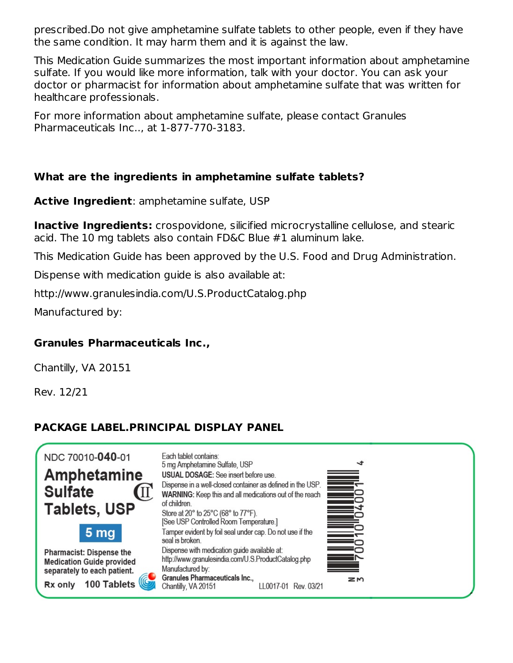prescribed.Do not give amphetamine sulfate tablets to other people, even if they have the same condition. It may harm them and it is against the law.

This Medication Guide summarizes the most important information about amphetamine sulfate. If you would like more information, talk with your doctor. You can ask your doctor or pharmacist for information about amphetamine sulfate that was written for healthcare professionals.

For more information about amphetamine sulfate, please contact Granules Pharmaceuticals Inc.., at 1-877-770-3183.

### **What are the ingredients in amphetamine sulfate tablets?**

**Active Ingredient**: amphetamine sulfate, USP

**Inactive Ingredients:** crospovidone, silicified microcrystalline cellulose, and stearic acid. The 10 mg tablets also contain FD&C Blue #1 aluminum lake.

This Medication Guide has been approved by the U.S. Food and Drug Administration.

Dispense with medication guide is also available at:

http://www.granulesindia.com/U.S.ProductCatalog.php

Manufactured by:

#### **Granules Pharmaceuticals Inc.,**

Chantilly, VA 20151

Rev. 12/21

## **PACKAGE LABEL.PRINCIPAL DISPLAY PANEL**

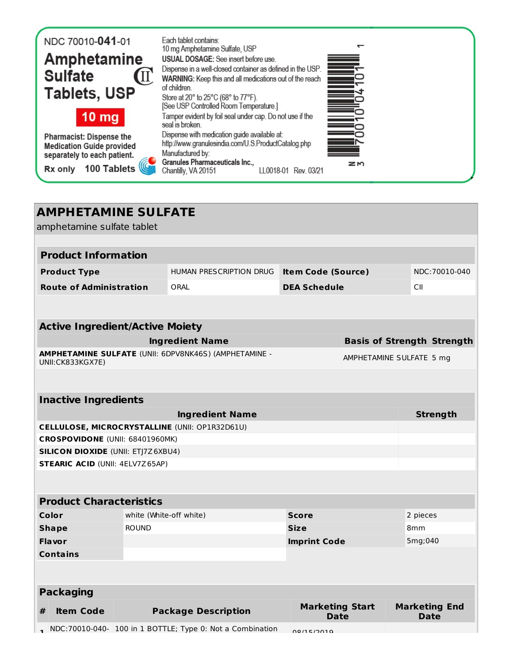| NDC 70010-041-01                                                | Each tablet contains:<br>10 mg Amphetamine Sulfate, USP                                                               |               |
|-----------------------------------------------------------------|-----------------------------------------------------------------------------------------------------------------------|---------------|
| <b>Amphetamine</b>                                              | USUAL DOSAGE: See insert before use.                                                                                  |               |
| <b>Sulfate</b><br>$(\mathrm{I}\hspace{-0.1cm}\mathrm{I})$       | Dispense in a well-closed container as defined in the USP.<br>WARNING: Keep this and all medications out of the reach | <u>Time</u>   |
| <b>Tablets, USP</b>                                             | of children                                                                                                           |               |
|                                                                 | Store at 20° to 25°C (68° to 77°F).<br>[See USP Controlled Room Temperature.]                                         | <u>Second</u> |
| 10 <sub>mg</sub>                                                | Tamper evident by foil seal under cap. Do not use if the<br>seal is broken.                                           |               |
| <b>Pharmacist: Dispense the</b>                                 | Dispense with medication guide available at:<br>http://www.granulesindia.com/U.S.ProductCatalog.php                   |               |
| <b>Medication Guide provided</b><br>separately to each patient. | Manufactured by:                                                                                                      |               |
| 100 Tablets<br>Rx only                                          | Granules Pharmaceuticals Inc.,<br>Chantilly, VA 20151<br>LL0018-01 Rev. 03/21                                         | zΜ            |
|                                                                 |                                                                                                                       |               |

| <b>AMPHETAMINE SULFATE</b>                     |                                                                                    |                                                           |                           |                                   |                      |               |
|------------------------------------------------|------------------------------------------------------------------------------------|-----------------------------------------------------------|---------------------------|-----------------------------------|----------------------|---------------|
| amphetamine sulfate tablet                     |                                                                                    |                                                           |                           |                                   |                      |               |
|                                                |                                                                                    |                                                           |                           |                                   |                      |               |
| <b>Product Information</b>                     |                                                                                    |                                                           |                           |                                   |                      |               |
| <b>Product Type</b>                            |                                                                                    | HUMAN PRESCRIPTION DRUG                                   | <b>Item Code (Source)</b> |                                   |                      | NDC:70010-040 |
| <b>Route of Administration</b>                 |                                                                                    | ORAL                                                      | <b>DEA Schedule</b>       |                                   | CII                  |               |
|                                                |                                                                                    |                                                           |                           |                                   |                      |               |
|                                                |                                                                                    |                                                           |                           |                                   |                      |               |
| <b>Active Ingredient/Active Moiety</b>         |                                                                                    |                                                           |                           |                                   |                      |               |
|                                                |                                                                                    | <b>Ingredient Name</b>                                    |                           | <b>Basis of Strength Strength</b> |                      |               |
| UNII:CK833KGX7E)                               |                                                                                    | AMPHETAMINE SULFATE (UNII: 6DPV8NK46S) (AMPHETAMINE -     |                           | AMPHETAMINE SULFATE 5 mg          |                      |               |
|                                                |                                                                                    |                                                           |                           |                                   |                      |               |
|                                                |                                                                                    |                                                           |                           |                                   |                      |               |
| <b>Inactive Ingredients</b>                    |                                                                                    |                                                           |                           |                                   |                      |               |
| <b>Strength</b><br><b>Ingredient Name</b>      |                                                                                    |                                                           |                           |                                   |                      |               |
| CELLULOSE, MICROCRYSTALLINE (UNII: OP1R32D61U) |                                                                                    |                                                           |                           |                                   |                      |               |
| CROSPOVIDONE (UNII: 68401960MK)                |                                                                                    |                                                           |                           |                                   |                      |               |
| <b>SILICON DIOXIDE (UNII: ETJ7Z6XBU4)</b>      |                                                                                    |                                                           |                           |                                   |                      |               |
| <b>STEARIC ACID (UNII: 4ELV7Z65AP)</b>         |                                                                                    |                                                           |                           |                                   |                      |               |
|                                                |                                                                                    |                                                           |                           |                                   |                      |               |
| <b>Product Characteristics</b>                 |                                                                                    |                                                           |                           |                                   |                      |               |
| Color                                          | white (White-off white)                                                            |                                                           | <b>Score</b>              |                                   | 2 pieces             |               |
| <b>Shape</b>                                   | <b>ROUND</b><br><b>Size</b><br>8 <sub>mm</sub>                                     |                                                           |                           |                                   |                      |               |
| <b>Flavor</b>                                  | <b>Imprint Code</b>                                                                |                                                           |                           |                                   | 5mg;040              |               |
| <b>Contains</b>                                |                                                                                    |                                                           |                           |                                   |                      |               |
|                                                |                                                                                    |                                                           |                           |                                   |                      |               |
| <b>Packaging</b>                               |                                                                                    |                                                           |                           |                                   |                      |               |
|                                                |                                                                                    |                                                           |                           |                                   |                      |               |
| <b>Item Code</b><br>#                          | <b>Marketing Start</b><br><b>Package Description</b><br><b>Date</b><br><b>Date</b> |                                                           |                           |                                   | <b>Marketing End</b> |               |
|                                                |                                                                                    | NDC:70010-040- 100 in 1 BOTTLE; Type 0: Not a Combination | 00/15/2010                |                                   |                      |               |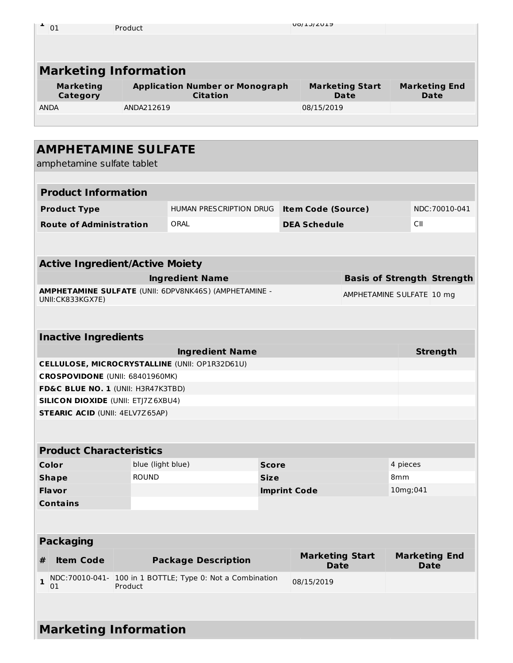| 01                           | Product                                                   | <b>UOI TOI CUTA</b>            |                                     |
|------------------------------|-----------------------------------------------------------|--------------------------------|-------------------------------------|
|                              |                                                           |                                |                                     |
|                              |                                                           |                                |                                     |
|                              | <b>Marketing Information</b>                              |                                |                                     |
| <b>Marketing</b><br>Category | <b>Application Number or Monograph</b><br><b>Citation</b> | <b>Marketing Start</b><br>Date | <b>Marketing End</b><br><b>Date</b> |
| <b>ANDA</b>                  | ANDA212619                                                | 08/15/2019                     |                                     |
|                              |                                                           |                                |                                     |

|                                        | <b>AMPHETAMINE SULFATE</b>                |                             |                                                           |              |                                       |                                   |          |     |                                     |
|----------------------------------------|-------------------------------------------|-----------------------------|-----------------------------------------------------------|--------------|---------------------------------------|-----------------------------------|----------|-----|-------------------------------------|
| amphetamine sulfate tablet             |                                           |                             |                                                           |              |                                       |                                   |          |     |                                     |
|                                        |                                           |                             |                                                           |              |                                       |                                   |          |     |                                     |
|                                        | <b>Product Information</b>                |                             |                                                           |              |                                       |                                   |          |     |                                     |
|                                        | <b>Product Type</b>                       |                             | HUMAN PRESCRIPTION DRUG                                   |              | <b>Item Code (Source)</b>             |                                   |          |     | NDC:70010-041                       |
|                                        | <b>Route of Administration</b>            |                             | ORAL                                                      |              | <b>DEA Schedule</b>                   |                                   |          | CII |                                     |
|                                        |                                           |                             |                                                           |              |                                       |                                   |          |     |                                     |
|                                        |                                           |                             |                                                           |              |                                       |                                   |          |     |                                     |
|                                        | <b>Active Ingredient/Active Moiety</b>    |                             |                                                           |              |                                       |                                   |          |     |                                     |
|                                        |                                           |                             | <b>Ingredient Name</b>                                    |              |                                       | <b>Basis of Strength Strength</b> |          |     |                                     |
|                                        | UNII:CK833KGX7E)                          |                             | AMPHETAMINE SULFATE (UNII: 6DPV8NK46S) (AMPHETAMINE -     |              |                                       | AMPHETAMINE SULFATE 10 mg         |          |     |                                     |
|                                        |                                           |                             |                                                           |              |                                       |                                   |          |     |                                     |
|                                        |                                           |                             |                                                           |              |                                       |                                   |          |     |                                     |
|                                        | <b>Inactive Ingredients</b>               |                             |                                                           |              |                                       |                                   |          |     |                                     |
|                                        | <b>Ingredient Name</b><br><b>Strength</b> |                             |                                                           |              |                                       |                                   |          |     |                                     |
|                                        |                                           |                             | CELLULOSE, MICROCRYSTALLINE (UNII: OP1R32D61U)            |              |                                       |                                   |          |     |                                     |
|                                        | CROSPOVIDONE (UNII: 68401960MK)           |                             |                                                           |              |                                       |                                   |          |     |                                     |
|                                        | FD&C BLUE NO. 1 (UNII: H3R47K3TBD)        |                             |                                                           |              |                                       |                                   |          |     |                                     |
|                                        | <b>SILICON DIOXIDE (UNII: ETJ7Z6XBU4)</b> |                             |                                                           |              |                                       |                                   |          |     |                                     |
| <b>STEARIC ACID (UNII: 4ELV7Z65AP)</b> |                                           |                             |                                                           |              |                                       |                                   |          |     |                                     |
|                                        |                                           |                             |                                                           |              |                                       |                                   |          |     |                                     |
|                                        |                                           |                             |                                                           |              |                                       |                                   |          |     |                                     |
|                                        | <b>Product Characteristics</b>            |                             |                                                           |              |                                       |                                   |          |     |                                     |
|                                        | Color                                     | blue (light blue)           |                                                           | <b>Score</b> |                                       |                                   | 4 pieces |     |                                     |
|                                        | <b>Shape</b>                              | <b>ROUND</b><br><b>Size</b> |                                                           | 8mm          |                                       |                                   |          |     |                                     |
|                                        | Flavor<br><b>Imprint Code</b>             |                             | 10mg;041                                                  |              |                                       |                                   |          |     |                                     |
|                                        | <b>Contains</b>                           |                             |                                                           |              |                                       |                                   |          |     |                                     |
|                                        |                                           |                             |                                                           |              |                                       |                                   |          |     |                                     |
|                                        | <b>Packaging</b>                          |                             |                                                           |              |                                       |                                   |          |     |                                     |
| #                                      | <b>Item Code</b>                          |                             | <b>Package Description</b>                                |              | <b>Marketing Start</b><br><b>Date</b> |                                   |          |     | <b>Marketing End</b><br><b>Date</b> |
| $\mathbf{1}$                           | 01                                        | Product                     | NDC:70010-041- 100 in 1 BOTTLE; Type 0: Not a Combination |              | 08/15/2019                            |                                   |          |     |                                     |

# **Marketing Information**